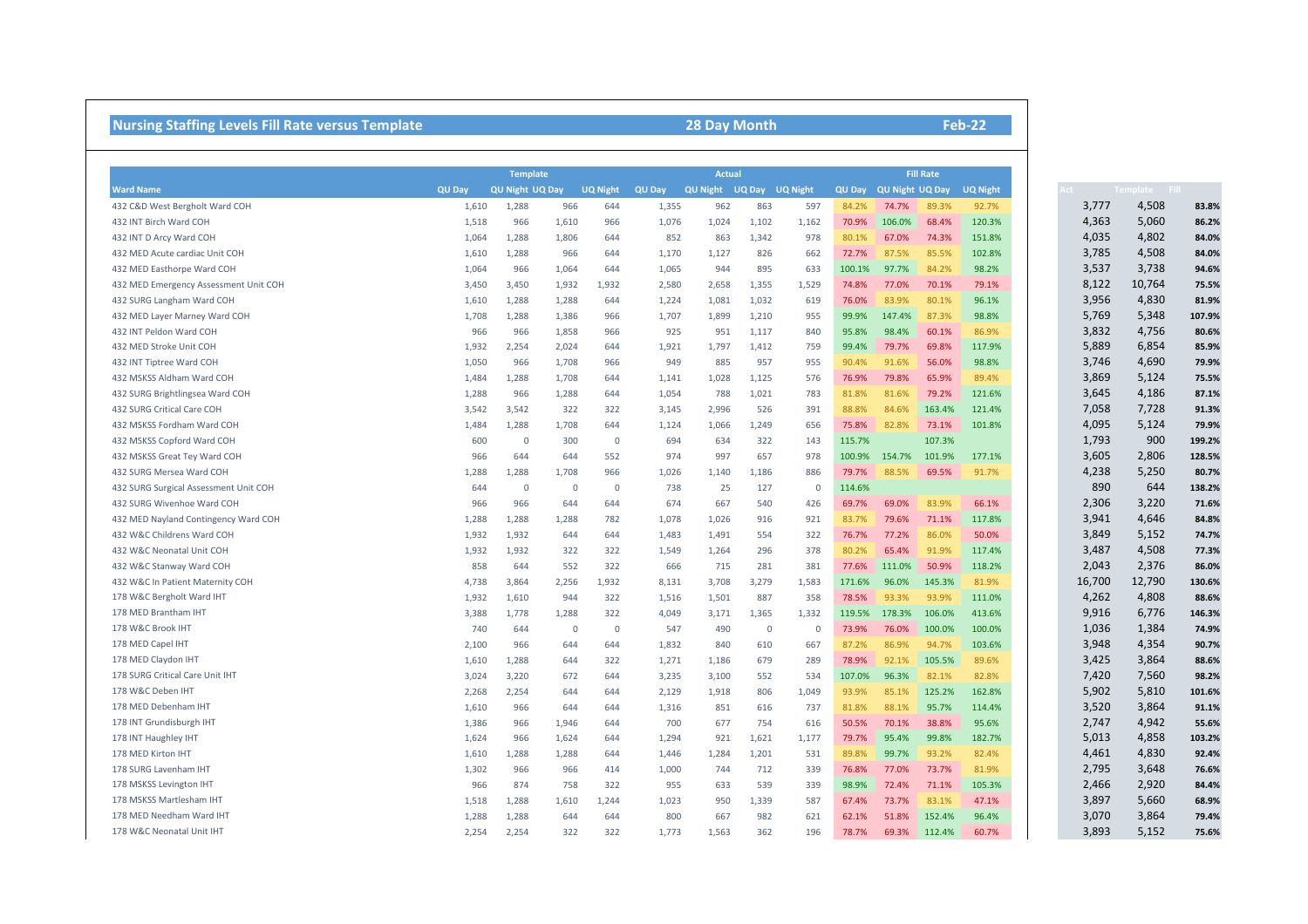## **Nursing Staffing Levels Fill Rate versus Template 28 Day Month**

|                                       | <b>Template</b> |                        |                |                 | <b>Actual</b> |                 |                |                 |               | <b>Fill Rate</b>       |              |                 |        |                      |        |
|---------------------------------------|-----------------|------------------------|----------------|-----------------|---------------|-----------------|----------------|-----------------|---------------|------------------------|--------------|-----------------|--------|----------------------|--------|
| <b>Ward Name</b>                      | <b>QU Day</b>   | <b>QU Night UQ Day</b> |                | <b>UQ Night</b> | <b>QU Day</b> | <b>QU Night</b> | UQ Day         | <b>UQ Night</b> | <b>QU Day</b> | <b>QU Night UQ Day</b> |              | <b>UQ Night</b> |        | <b>Template</b> Fill |        |
| 432 C&D West Bergholt Ward COH        | 1,610           | 1,288                  | 966            | 644             | 1,355         | 962             | 863            | 597             | 84.2%         | 74.7%                  | 89.3%        | 92.7%           | 3,777  | 4,508                | 83.8%  |
| 432 INT Birch Ward COH                | 1,518           | 966                    | 1,610          | 966             | 1,076         | 1,024           | 1,102          | 1,162           | 70.9%         | 106.0%                 | 68.4%        | 120.3%          | 4,363  | 5,060                | 86.2%  |
| 432 INT D Arcy Ward COH               | 1,064           | 1,288                  | 1,806          | 644             | 852           | 863             | 1,342          | 978             | 80.1%         | 67.0%                  | 74.3%        | 151.8%          | 4,035  | 4,802                | 84.0%  |
| 432 MED Acute cardiac Unit COH        | 1,610           | 1,288                  | 966            | 644             | 1,170         | 1,127           | 826            | 662             | 72.7%         | 87.5%                  | 85.5%        | 102.8%          | 3,785  | 4,508                | 84.0%  |
| 432 MED Easthorpe Ward COH            | 1,064           | 966                    | 1,064          | 644             | 1,065         | 944             | 895            | 633             | 100.1%        | 97.7%                  | 84.2%        | 98.2%           | 3,537  | 3,738                | 94.6%  |
| 432 MED Emergency Assessment Unit COH | 3,450           | 3,450                  | 1,932          | 1,932           | 2,580         | 2,658           | 1,355          | 1,529           | 74.8%         | 77.0%                  | 70.1%        | 79.1%           | 8,122  | 10,764               | 75.5%  |
| 432 SURG Langham Ward COH             | 1,610           | 1,288                  | 1,288          | 644             | 1,224         | 1,081           | 1,032          | 619             | 76.0%         | 83.9%                  | 80.1%        | 96.1%           | 3,956  | 4,830                | 81.9%  |
| 432 MED Layer Marney Ward COH         | 1,708           | 1,288                  | 1,386          | 966             | 1,707         | 1,899           | 1,210          | 955             | 99.9%         | 147.4%                 | 87.3%        | 98.8%           | 5,769  | 5,348                | 107.9% |
| 432 INT Peldon Ward COH               | 966             | 966                    | 1,858          | 966             | 925           | 951             | 1,117          | 840             | 95.8%         | 98.4%                  | 60.1%        | 86.9%           | 3,832  | 4,756                | 80.6%  |
| 432 MED Stroke Unit COH               | 1,932           | 2,254                  | 2,024          | 644             | 1,921         | 1,797           | 1,412          | 759             | 99.4%         | 79.7%                  | 69.8%        | 117.9%          | 5,889  | 6,854                | 85.9%  |
| 432 INT Tiptree Ward COH              | 1,050           | 966                    | 1,708          | 966             | 949           | 885             | 957            | 955             | 90.4%         | 91.6%                  | 56.0%        | 98.8%           | 3,746  | 4,690                | 79.9%  |
| 432 MSKSS Aldham Ward COH             | 1,484           | 1,288                  | 1,708          | 644             | 1,141         | 1,028           | 1,125          | 576             | 76.9%         | 79.8%                  | 65.9%        | 89.4%           | 3,869  | 5,124                | 75.5%  |
| 432 SURG Brightlingsea Ward COH       | 1,288           | 966                    | 1,288          | 644             | 1,054         | 788             | 1,021          | 783             | 81.8%         | 81.6%                  | 79.2%        | 121.6%          | 3,645  | 4,186                | 87.1%  |
| 432 SURG Critical Care COH            | 3,542           | 3,542                  | 322            | 322             | 3,145         | 2,996           | 526            | 391             | 88.8%         | 84.6%                  | 163.4%       | 121.4%          | 7,058  | 7,728                | 91.3%  |
| 432 MSKSS Fordham Ward COH            | 1,484           | 1,288                  | 1,708          | 644             | 1,124         | 1,066           | 1,249          | 656             | 75.8%         | 82.8%                  | 73.1%        | 101.8%          | 4,095  | 5,124                | 79.9%  |
| 432 MSKSS Copford Ward COH            | 600             | $\mathbf 0$            | 300            | $\overline{0}$  | 694           | 634             | 322            | 143             | 115.7%        |                        | 107.3%       |                 | 1,793  | 900                  | 199.2% |
| 432 MSKSS Great Tey Ward COH          | 966             | 644                    | 644            | 552             | 974           | 997             | 657            | 978             | 100.9%        | 154.7%                 | 101.9%       | 177.1%          | 3,605  | 2,806                | 128.5% |
| 432 SURG Mersea Ward COH              | 1,288           | 1,288                  | 1,708          | 966             | 1,026         | 1,140           | 1,186          | 886             | 79.7%         | 88.5%                  | 69.5%        | 91.7%           | 4,238  | 5,250                | 80.7%  |
| 432 SURG Surgical Assessment Unit COH | 644             | $\mathbf 0$            | $\overline{0}$ | $\overline{0}$  | 738           | 25              | 127            | - 0             | 114.6%        |                        |              |                 | 890    | 644                  | 138.2% |
| 432 SURG Wivenhoe Ward COH            | 966             | 966                    | 644            | 644             | 674           | 667             | 540            | 426             | 69.7%         | 69.0%                  | 83.9%        | 66.1%           | 2,306  | 3,220                | 71.6%  |
| 432 MED Nayland Contingency Ward COH  | 1,288           | 1,288                  | 1,288          | 782             | 1,078         | 1,026           | 916            | 921             | 83.7%         | 79.6%                  | 71.1%        | 117.8%          | 3,941  | 4,646                | 84.8%  |
| 432 W&C Childrens Ward COH            | 1,932           | 1,932                  | 644            | 644             | 1,483         | 1,491           | 554            | 322             | 76.7%         | 77.2%                  | 86.0%        | 50.0%           | 3,849  | 5,152                | 74.7%  |
| 432 W&C Neonatal Unit COH             | 1,932           | 1,932                  | 322            | 322             | 1,549         | 1,264           | 296            | 378             | 80.2%         | 65.4%                  | 91.9%        | 117.4%          | 3,487  | 4,508                | 77.3%  |
| 432 W&C Stanway Ward COH              | 858             | 644                    | 552            | 322             | 666           | 715             | 281            | 381             | 77.6%         | 111.0%                 | 50.9%        | 118.2%          | 2,043  | 2,376                | 86.0%  |
| 432 W&C In Patient Maternity COH      | 4,738           | 3,864                  | 2,256          | 1,932           | 8,131         | 3,708           | 3,279          | 1,583           | 171.6%        | 96.0%                  | 145.3%       | 81.9%           | 16,700 | 12,790               | 130.6% |
| 178 W&C Bergholt Ward IHT             | 1,932           | 1,610                  | 944            | 322             | 1,516         | 1,501           | 887            | 358             | 78.5%         | 93.3%                  | 93.9%        | 111.0%          | 4,262  | 4,808                | 88.6%  |
| 178 MED Brantham IHT                  | 3,388           | 1,778                  | 1,288          | 322             | 4,049         | 3,171           | 1,365          | 1,332           | 119.5%        | 178.3%                 | 106.0%       | 413.6%          | 9,916  | 6,776                | 146.3% |
| 178 W&C Brook IHT                     | 740             | 644                    | $\overline{0}$ | $\overline{0}$  | 547           | 490             | $\overline{0}$ | - 0             | 73.9%         | 76.0%                  | 100.0%       | 100.0%          | 1,036  | 1,384                | 74.9%  |
| 178 MED Capel IHT                     | 2,100           | 966                    | 644            | 644             | 1,832         | 840             | 610            | 667             | 87.2%         | 86.9%                  | 94.7%        | 103.6%          | 3,948  | 4,354                | 90.7%  |
| 178 MED Claydon IHT                   | 1,610           | 1,288                  | 644            | 322             | 1,271         | 1,186           | 679            | 289             | 78.9%         | 92.1%                  | 105.5%       | 89.6%           | 3,425  | 3,864                | 88.6%  |
| 178 SURG Critical Care Unit IHT       | 3,024           | 3,220                  | 672            | 644             | 3,235         | 3,100           | 552            | 534             | 107.0%        | 96.3%                  | 82.1%        | 82.8%           | 7,420  | 7,560                | 98.2%  |
| 178 W&C Deben IHT                     | 2,268           | 2,254                  | 644            | 644             | 2,129         | 1,918           | 806            | 1,049           | 93.9%         | 85.1%                  | 125.2%       | 162.8%          | 5,902  | 5,810                | 101.6% |
| 178 MED Debenham IHT                  | 1,610           | 966                    | 644            | 644             | 1,316         | 851             | 616            | 737             | 81.8%         | 88.1%                  | 95.7%        | 114.4%          | 3,520  | 3,864                | 91.1%  |
| 178 INT Grundisburgh IHT              | 1,386           | 966                    | 1,946          | 644             | 700           | 677             | 754            | 616             | 50.5%         | 70.1%                  | 38.8%        | 95.6%           | 2,747  | 4,942                | 55.6%  |
| 178 INT Haughley IHT                  | 1,624           | 966                    | 1,624          | 644             | 1,294         | 921             | 1,621          | 1,177           | 79.7%         | 95.4%                  | 99.8%        | 182.7%          | 5,013  | 4,858                | 103.2% |
| 178 MED Kirton IHT                    | 1,610           | 1,288                  | 1,288          | 644             | 1,446         | 1,284           | 1,201          | 531             | 89.8%         | 99.7%                  | 93.2%        | 82.4%           | 4,461  | 4,830                | 92.4%  |
| 178 SURG Lavenham IHT                 | 1,302           | 966                    | 966            | 414             | 1,000         | 744             | 712            | 339             | 76.8%         | 77.0%                  | 73.7%        | 81.9%           | 2,795  | 3,648                | 76.6%  |
| 178 MSKSS Levington IHT               | 966             | 874                    | 758            | 322             | 955           | 633             | 539            | 339             | 98.9%         | 72.4%                  | 71.1%        | 105.3%          | 2,466  | 2,920                | 84.4%  |
| 178 MSKSS Martlesham IHT              | 1,518           | 1,288                  | 1,610          | 1,244           | 1,023         | 950             | 1,339          | 587             | 67.4%         | 73.7%                  | 83.1%        | 47.1%           | 3,897  | 5,660                | 68.9%  |
| 178 MED Needham Ward IHT              | 1,288           | 1,288                  | 644            | 644             | 800           | 667             | 982            | 621             | 62.1%         | 51.8%                  | 152.4%       | 96.4%           | 3,070  | 3,864                | 79.4%  |
| 178 W&C Neonatal Unit IHT             | 2,254           | 2,254                  | 322            | 322             | 1,773         | 1,563           | 362            | 196             | 78.7%         |                        | 69.3% 112.4% | 60.7%           | 3,893  | 5,152                | 75.6%  |

**Feb-22**

|  | Act |        | Template Fill |        |
|--|-----|--------|---------------|--------|
|  |     | 3,777  | 4,508         | 83.8%  |
|  |     | 4,363  | 5,060         | 86.2%  |
|  |     | 4,035  | 4,802         | 84.0%  |
|  |     | 3,785  | 4,508         | 84.0%  |
|  |     | 3,537  | 3,738         | 94.6%  |
|  |     | 8,122  | 10,764        | 75.5%  |
|  |     | 3,956  | 4,830         | 81.9%  |
|  |     | 5,769  | 5,348         | 107.9% |
|  |     | 3,832  | 4,756         | 80.6%  |
|  |     | 5,889  | 6,854         | 85.9%  |
|  |     | 3,746  | 4,690         | 79.9%  |
|  |     | 3,869  | 5,124         | 75.5%  |
|  |     | 3,645  | 4,186         | 87.1%  |
|  |     | 7,058  | 7,728         | 91.3%  |
|  |     | 4,095  | 5,124         | 79.9%  |
|  |     | 1,793  | 900           | 199.2% |
|  |     | 3,605  | 2,806         | 128.5% |
|  |     | 4,238  | 5,250         | 80.7%  |
|  |     | 890    | 644           | 138.2% |
|  |     | 2,306  | 3,220         | 71.6%  |
|  |     | 3,941  | 4,646         | 84.8%  |
|  |     | 3,849  | 5,152         | 74.7%  |
|  |     | 3,487  | 4,508         | 77.3%  |
|  |     | 2,043  | 2,376         | 86.0%  |
|  |     | 16,700 | 12,790        | 130.6% |
|  |     | 4,262  | 4,808         | 88.6%  |
|  |     | 9,916  | 6,776         | 146.3% |
|  |     | 1,036  | 1,384         | 74.9%  |
|  |     | 3,948  | 4,354         | 90.7%  |
|  |     | 3,425  | 3,864         | 88.6%  |
|  |     | 7,420  | 7,560         | 98.2%  |
|  |     | 5,902  | 5,810         | 101.6% |
|  |     | 3,520  | 3,864         | 91.1%  |
|  |     | 2,747  | 4,942         | 55.6%  |
|  |     | 5,013  | 4,858         | 103.2% |
|  |     | 4,461  | 4,830         | 92.4%  |
|  |     | 2,795  | 3,648         | 76.6%  |
|  |     | 2,466  | 2,920         | 84.4%  |
|  |     | 3,897  | 5,660         | 68.9%  |
|  |     | 3,070  | 3,864         | 79.4%  |
|  |     | 3.893  | 5.152         | 75.6%  |